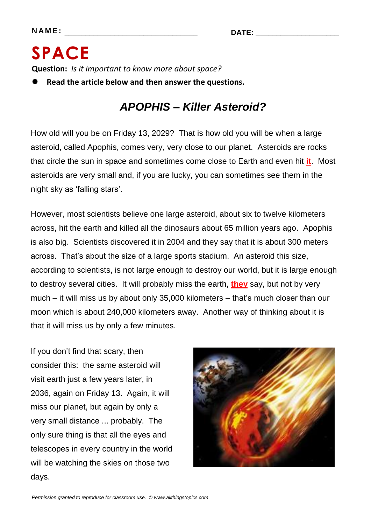## **SPACE Question:** *Is it important to know more about space?*

**Read the article below and then answer the questions.**

## *APOPHIS – Killer Asteroid?*

How old will you be on Friday 13, 2029? That is how old you will be when a large asteroid, called Apophis, comes very, very close to our planet. Asteroids are rocks that circle the sun in space and sometimes come close to Earth and even hit **it**. Most asteroids are very small and, if you are lucky, you can sometimes see them in the night sky as 'falling stars'.

However, most scientists believe one large asteroid, about six to twelve kilometers across, hit the earth and killed all the dinosaurs about 65 million years ago. Apophis is also big. Scientists discovered it in 2004 and they say that it is about 300 meters across. That's about the size of a large sports stadium. An asteroid this size, according to scientists, is not large enough to destroy our world, but it is large enough to destroy several cities. It will probably miss the earth, **they** say, but not by very much – it will miss us by about only 35,000 kilometers – that's much closer than our moon which is about 240,000 kilometers away. Another way of thinking about it is that it will miss us by only a few minutes.

If you don't find that scary, then consider this: the same asteroid will visit earth just a few years later, in 2036, again on Friday 13. Again, it will miss our planet, but again by only a very small distance ... probably. The only sure thing is that all the eyes and telescopes in every country in the world will be watching the skies on those two days.

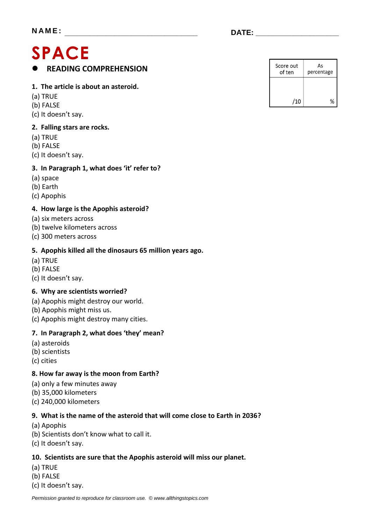## **SPACE READING COMPREHENSION**

#### **1. The article is about an asteroid.**

- (a) TRUE
- (b) FALSE
- (c) It doesn't say.

#### **2. Falling stars are rocks.**

- (a) TRUE
- (b) FALSE
- (c) It doesn't say.

#### **3. In Paragraph 1, what does 'it' refer to?**

- (a) space
- (b) Earth
- (c) Apophis

#### **4. How large is the Apophis asteroid?**

- (a) six meters across
- (b) twelve kilometers across
- (c) 300 meters across

#### **5. Apophis killed all the dinosaurs 65 million years ago.**

- (a) TRUE
- (b) FALSE
- (c) It doesn't say.

#### **6. Why are scientists worried?**

- (a) Apophis might destroy our world.
- (b) Apophis might miss us.
- (c) Apophis might destroy many cities.

#### **7. In Paragraph 2, what does 'they' mean?**

- (a) asteroids
- (b) scientists
- (c) cities

#### **8. How far away is the moon from Earth?**

- (a) only a few minutes away
- (b) 35,000 kilometers
- (c) 240,000 kilometers

#### **9. What is the name of the asteroid that will come close to Earth in 2036?**

- (a) Apophis
- (b) Scientists don't know what to call it.
- (c) It doesn't say.

#### **10. Scientists are sure that the Apophis asteroid will miss our planet.**

- (a) TRUE
- (b) FALSE
- (c) It doesn't say.

| Score out<br>of ten | As<br>percentage |  |
|---------------------|------------------|--|
|                     |                  |  |
| /10                 | ℀                |  |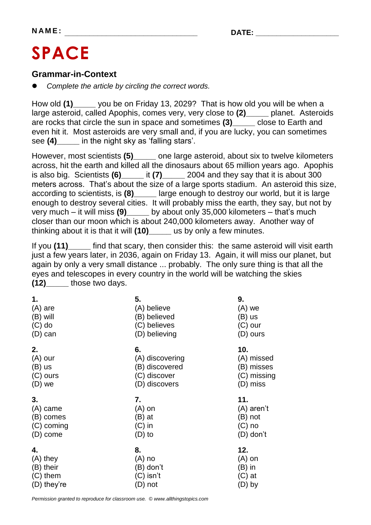# **SPACE**

#### **Grammar-in-Context**

*Complete the article by circling the correct words.*

How old **(1)\_\_\_\_\_** you be on Friday 13, 2029? That is how old you will be when a large asteroid, called Apophis, comes very, very close to **(2)\_\_\_\_\_** planet. Asteroids are rocks that circle the sun in space and sometimes **(3)\_\_\_\_\_** close to Earth and even hit it. Most asteroids are very small and, if you are lucky, you can sometimes see **(4)\_\_\_\_\_** in the night sky as 'falling stars'.

However, most scientists **(5)\_\_\_\_\_** one large asteroid, about six to twelve kilometers across, hit the earth and killed all the dinosaurs about 65 million years ago. Apophis is also big. Scientists **(6)\_\_\_\_\_** it **(7)\_\_\_\_\_** 2004 and they say that it is about 300 meters across. That's about the size of a large sports stadium. An asteroid this size, according to scientists, is **(8)\_\_\_\_\_** large enough to destroy our world, but it is large enough to destroy several cities. It will probably miss the earth, they say, but not by very much – it will miss **(9)\_\_\_\_\_** by about only 35,000 kilometers – that's much closer than our moon which is about 240,000 kilometers away. Another way of thinking about it is that it will **(10)\_\_\_\_\_** us by only a few minutes.

If you **(11)\_\_\_\_\_** find that scary, then consider this: the same asteroid will visit earth just a few years later, in 2036, again on Friday 13. Again, it will miss our planet, but again by only a very small distance ... probably. The only sure thing is that all the eyes and telescopes in every country in the world will be watching the skies **(12)\_\_\_\_\_** those two days.

| 1.          | 5.              | 9.          |
|-------------|-----------------|-------------|
| $(A)$ are   | (A) believe     | $(A)$ we    |
| $(B)$ will  | (B) believed    | (B) us      |
| $(C)$ do    | (C) believes    | (C) our     |
| (D) can     | (D) believing   | (D) ours    |
| 2.          | 6.              | 10.         |
| $(A)$ our   | (A) discovering | (A) missed  |
| (B) us      | (B) discovered  | (B) misses  |
| $(C)$ ours  | (C) discover    | (C) missing |
| $(D)$ we    | (D) discovers   | (D) miss    |
| 3.          | 7.              | 11.         |
| (A) came    | $(A)$ on        | (A) aren't  |
| (B) comes   | (B) at          | (B) not     |
| (C) coming  | $(C)$ in        | $(C)$ no    |
| (D) come    | $(D)$ to        | (D) don't   |
| 4.          | 8.              | 12.         |
| $(A)$ they  | (A) no          | $(A)$ on    |
| (B) their   | (B) don't       | (B) in      |
| $(C)$ them  | (C) isn't       | (C) at      |
| (D) they're | (D) not         | (D) by      |

*Permission granted to reproduce for classroom use. © www.allthingstopics.com*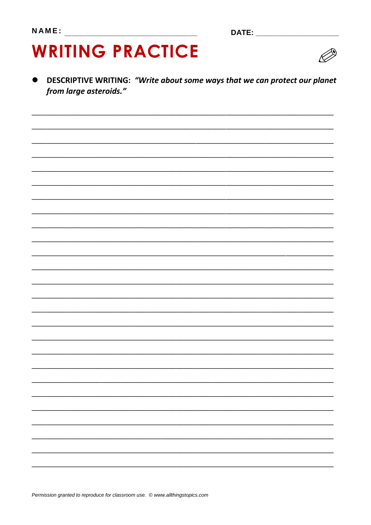# **WRITING PRACTICE**



DESCRIPTIVE WRITING: "Write about some ways that we can protect our planet  $\bullet$ from large asteroids."